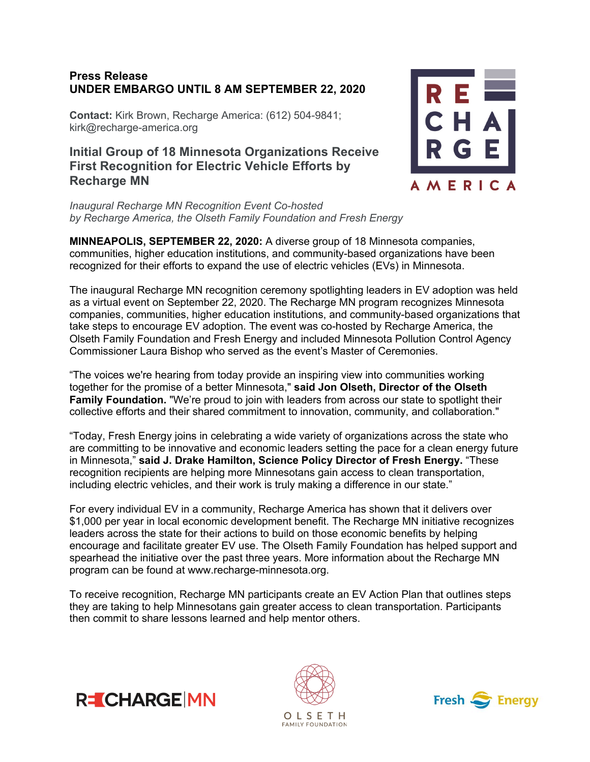## **Press Release UNDER EMBARGO UNTIL 8 AM SEPTEMBER 22, 2020**

**Contact:** Kirk Brown, Recharge America: (612) 504-9841; kirk@recharge-america.org

## **Initial Group of 18 Minnesota Organizations Receive First Recognition for Electric Vehicle Efforts by Recharge MN**

*Inaugural Recharge MN Recognition Event Co-hosted by Recharge America, the Olseth Family Foundation and Fresh Energy*

**MINNEAPOLIS, SEPTEMBER 22, 2020:** A diverse group of 18 Minnesota companies, communities, higher education institutions, and community-based organizations have been recognized for their efforts to expand the use of electric vehicles (EVs) in Minnesota.

The inaugural Recharge MN recognition ceremony spotlighting leaders in EV adoption was held as a virtual event on September 22, 2020. The Recharge MN program recognizes Minnesota companies, communities, higher education institutions, and community-based organizations that take steps to encourage EV adoption. The event was co-hosted by Recharge America, the Olseth Family Foundation and Fresh Energy and included Minnesota Pollution Control Agency Commissioner Laura Bishop who served as the event's Master of Ceremonies.

"The voices we're hearing from today provide an inspiring view into communities working together for the promise of a better Minnesota," **said Jon Olseth, Director of the Olseth Family Foundation.** "We're proud to join with leaders from across our state to spotlight their collective efforts and their shared commitment to innovation, community, and collaboration."

"Today, Fresh Energy joins in celebrating a wide variety of organizations across the state who are committing to be innovative and economic leaders setting the pace for a clean energy future in Minnesota," **said J. Drake Hamilton, Science Policy Director of Fresh Energy.** "These recognition recipients are helping more Minnesotans gain access to clean transportation, including electric vehicles, and their work is truly making a difference in our state."

For every individual EV in a community, Recharge America has shown that it delivers over \$1,000 per year in local economic development benefit. The Recharge MN initiative recognizes leaders across the state for their actions to build on those economic benefits by helping encourage and facilitate greater EV use. The Olseth Family Foundation has helped support and spearhead the initiative over the past three years. More information about the Recharge MN program can be found at www.recharge-minnesota.org.

To receive recognition, Recharge MN participants create an EV Action Plan that outlines steps they are taking to help Minnesotans gain greater access to clean transportation. Participants then commit to share lessons learned and help mentor others.